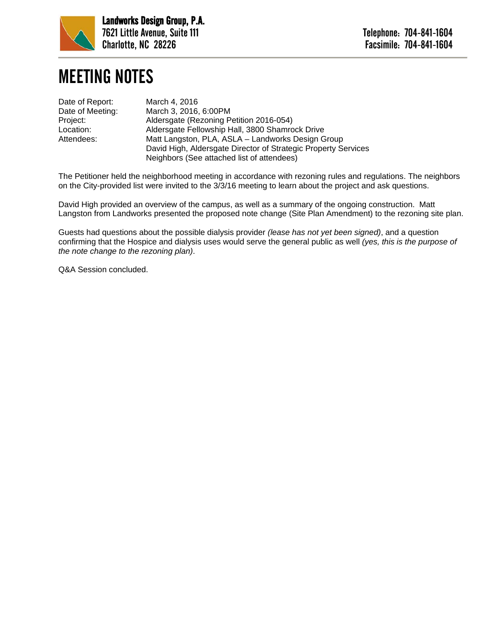

## MEETING NOTES

| March 4, 2016                                                                                                |
|--------------------------------------------------------------------------------------------------------------|
| March 3, 2016, 6:00PM                                                                                        |
| Aldersgate (Rezoning Petition 2016-054)                                                                      |
| Aldersgate Fellowship Hall, 3800 Shamrock Drive                                                              |
| Matt Langston, PLA, ASLA - Landworks Design Group                                                            |
| David High, Aldersgate Director of Strategic Property Services<br>Neighbors (See attached list of attendees) |
|                                                                                                              |

The Petitioner held the neighborhood meeting in accordance with rezoning rules and regulations. The neighbors on the City-provided list were invited to the 3/3/16 meeting to learn about the project and ask questions.

David High provided an overview of the campus, as well as a summary of the ongoing construction. Matt Langston from Landworks presented the proposed note change (Site Plan Amendment) to the rezoning site plan.

Guests had questions about the possible dialysis provider *(lease has not yet been signed)*, and a question confirming that the Hospice and dialysis uses would serve the general public as well *(yes, this is the purpose of the note change to the rezoning plan)*.

Q&A Session concluded.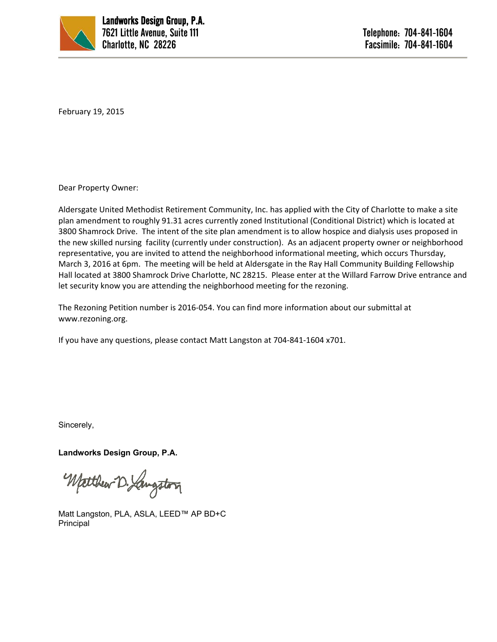

February 19, 2015

Dear Property Owner:

Aldersgate United Methodist Retirement Community, Inc. has applied with the City of Charlotte to make a site plan amendment to roughly 91.31 acres currently zoned Institutional (Conditional District) which is located at 3800 Shamrock Drive. The intent of the site plan amendment is to allow hospice and dialysis uses proposed in the new skilled nursing facility (currently under construction). As an adjacent property owner or neighborhood representative, you are invited to attend the neighborhood informational meeting, which occurs Thursday, March 3, 2016 at 6pm. The meeting will be held at Aldersgate in the Ray Hall Community Building Fellowship Hall located at 3800 Shamrock Drive Charlotte, NC 28215. Please enter at the Willard Farrow Drive entrance and let security know you are attending the neighborhood meeting for the rezoning.

The Rezoning Petition number is 2016‐054. You can find more information about our submittal at www.rezoning.org.

If you have any questions, please contact Matt Langston at 704‐841‐1604 x701.

Sincerely,

**Landworks Design Group, P.A.** 

Wetthew D. Langston

Matt Langston, PLA, ASLA, LEED™ AP BD+C Principal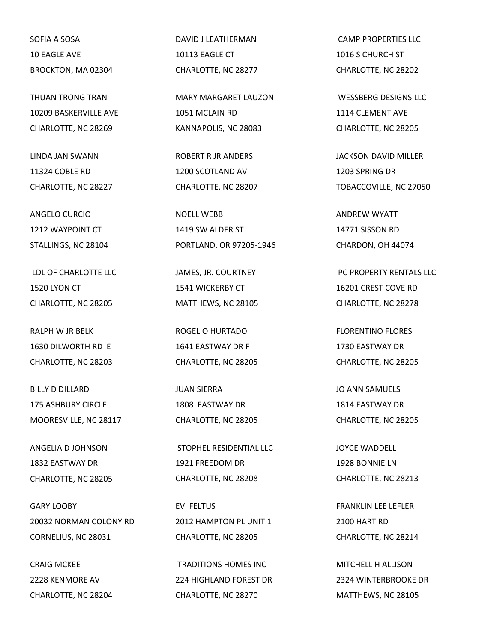SOFIA A SOSA 10 EAGLE AVE BROCKTON, MA 02304

THUAN TRONG TRAN 10209 BASKERVILLE AVE CHARLOTTE, NC 28269

LINDA JAN SWANN 11324 COBLE RD CHARLOTTE, NC 28227

ANGELO CURCIO 1212 WAYPOINT CT STALLINGS, NC 28104

LDL OF CHARLOTTE LLC 1520 LYON CT CHARLOTTE, NC 28205

RALPH W JR BELK 1630 DILWORTH RD E CHARLOTTE, NC 28203

BILLY D DILLARD 175 ASHBURY CIRCLE MOORESVILLE, NC 28117

ANGELIA D JOHNSON 1832 EASTWAY DR CHARLOTTE, NC 28205

GARY LOOBY 20032 NORMAN COLONY RD CORNELIUS, NC 28031

CRAIG MCKEE 2228 KENMORE AV CHARLOTTE, NC 28204 DAVID J LEATHERMAN 10113 EAGLE CT CHARLOTTE, NC 28277

MARY MARGARET LAUZON 1051 MCLAIN RD KANNAPOLIS, NC 28083

ROBERT R JR ANDERS 1200 SCOTLAND AV CHARLOTTE, NC 28207

NOELL WEBB 1419 SW ALDER ST PORTLAND, OR 97205-1946

JAMES, JR. COURTNEY 1541 WICKERBY CT MATTHEWS, NC 28105

ROGELIO HURTADO 1641 EASTWAY DR F CHARLOTTE, NC 28205

JUAN SIERRA 1808 EASTWAY DR CHARLOTTE, NC 28205

STOPHEL RESIDENTIAL LLC 1921 FREEDOM DR CHARLOTTE, NC 28208

EVI FELTUS 2012 HAMPTON PL UNIT 1 CHARLOTTE, NC 28205

TRADITIONS HOMES INC 224 HIGHLAND FOREST DR CHARLOTTE, NC 28270

CAMP PROPERTIES LLC 1016 S CHURCH ST CHARLOTTE, NC 28202

WESSBERG DESIGNS LLC 1114 CLEMENT AVE CHARLOTTE, NC 28205

JACKSON DAVID MILLER 1203 SPRING DR TOBACCOVILLE, NC 27050

ANDREW WYATT 14771 SISSON RD CHARDON, OH 44074

PC PROPERTY RENTALS LLC 16201 CREST COVE RD CHARLOTTE, NC 28278

FLORENTINO FLORES 1730 EASTWAY DR CHARLOTTE, NC 28205

JO ANN SAMUELS 1814 EASTWAY DR CHARLOTTE, NC 28205

JOYCE WADDELL 1928 BONNIE LN CHARLOTTE, NC 28213

FRANKLIN LEE LEFLER 2100 HART RD CHARLOTTE, NC 28214

MITCHELL H ALLISON 2324 WINTERBROOKE DR MATTHEWS, NC 28105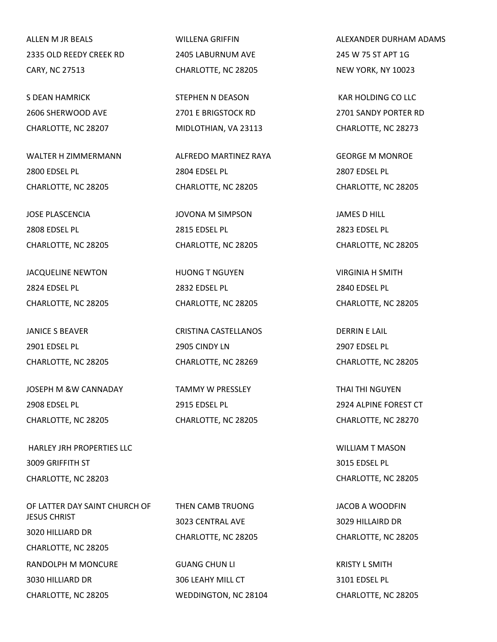ALLEN M JR BEALS 2335 OLD REEDY CREEK RD CARY, NC 27513

S DEAN HAMRICK 2606 SHERWOOD AVE CHARLOTTE, NC 28207

WALTER H ZIMMERMANN 2800 EDSEL PL CHARLOTTE, NC 28205

JOSE PLASCENCIA 2808 EDSEL PL CHARLOTTE, NC 28205

JACQUELINE NEWTON 2824 EDSEL PL CHARLOTTE, NC 28205

JANICE S BEAVER 2901 EDSEL PL CHARLOTTE, NC 28205

JOSEPH M &W CANNADAY 2908 EDSEL PL CHARLOTTE, NC 28205

HARLEY IRH PROPERTIES LLC. 3009 GRIFFITH ST CHARLOTTE, NC 28203

OF LATTER DAY SAINT CHURCH OF JESUS CHRIST 3020 HILLIARD DR CHARLOTTE, NC 28205 RANDOLPH M MONCURE 3030 HILLIARD DR CHARLOTTE, NC 28205

WILLENA GRIFFIN 2405 LABURNUM AVE CHARLOTTE, NC 28205

STEPHEN N DEASON 2701 E BRIGSTOCK RD MIDLOTHIAN, VA 23113

ALFREDO MARTINEZ RAYA 2804 EDSEL PL CHARLOTTE, NC 28205

JOVONA M SIMPSON 2815 EDSEL PL CHARLOTTE, NC 28205

HUONG T NGUYEN 2832 EDSEL PL CHARLOTTE, NC 28205

CRISTINA CASTELLANOS 2905 CINDY LN CHARLOTTE, NC 28269

TAMMY W PRESSLEY 2915 EDSEL PL CHARLOTTE, NC 28205

THEN CAMB TRUONG 3023 CENTRAL AVE CHARLOTTE, NC 28205

> GUANG CHUN LI 306 LEAHY MILL CT WEDDINGTON, NC 28104

ALEXANDER DURHAM ADAMS 245 W 75 ST APT 1G NEW YORK, NY 10023

KAR HOLDING CO LLC 2701 SANDY PORTER RD CHARLOTTE, NC 28273

GEORGE M MONROE 2807 EDSEL PL CHARLOTTE, NC 28205

JAMES D HILL 2823 EDSEL PL CHARLOTTE, NC 28205

VIRGINIA H SMITH 2840 EDSEL PL CHARLOTTE, NC 28205

DERRIN E LAIL 2907 EDSEL PL CHARLOTTE, NC 28205

THAI THI NGUYEN 2924 ALPINE FOREST CT CHARLOTTE, NC 28270

WILLIAM T MASON 3015 EDSEL PL CHARLOTTE, NC 28205

JACOB A WOODFIN 3029 HILLAIRD DR CHARLOTTE, NC 28205

KRISTY L SMITH 3101 EDSEL PL CHARLOTTE, NC 28205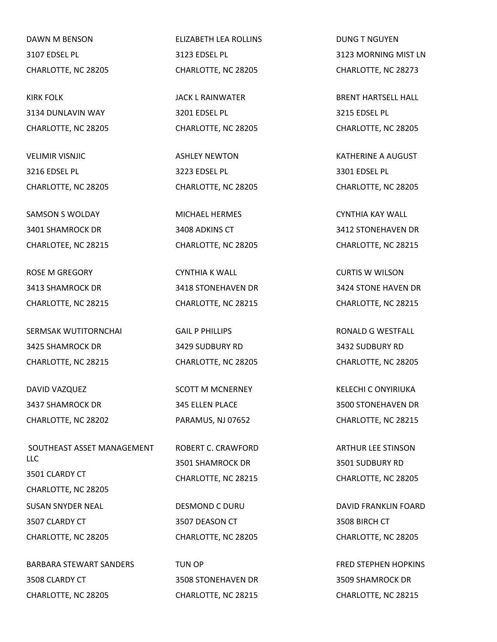DAWN M BENSON 3107 EDSEL PL CHARLOTTE, NC 28205

KIRK FOLK 3134 DUNLAVIN WAY CHARLOTTE, NC 28205

VELIMIR VISNJIC 3216 EDSEL PL CHARLOTTE, NC 28205

SAMSON S WOLDAY 3401 SHAMROCK DR CHARLOTEE, NC 28215

ROSE M GREGORY 3413 SHAMROCK DR CHARLOTTE, NC 28215

SERMSAK WUTITORNCHAI 3425 SHAMROCK DR CHARLOTTE, NC 28215

DAVID VAZQUEZ 3437 SHAMROCK DR CHARLOTTE, NC 28202

SOUTHEAST ASSET MANAGEMENT LLC 3501 CLARDY CT CHARLOTTE, NC 28205 SUSAN SNYDER NEAL 3507 CLARDY CT CHARLOTTE, NC 28205

BARBARA STEWART SANDERS 3508 CLARDY CT CHARLOTTE, NC 28205

ELIZABETH LEA ROLLINS 3123 EDSEL PL CHARLOTTE, NC 28205

JACK L RAINWATER 3201 EDSEL PL CHARLOTTE, NC 28205

ASHLEY NEWTON 3223 EDSEL PL CHARLOTTE, NC 28205

MICHAEL HERMES 3408 ADKINS CT CHARLOTTE, NC 28205

CYNTHIA K WALL 3418 STONEHAVEN DR CHARLOTTE, NC 28215

GAIL P PHILLIPS 3429 SUDBURY RD CHARLOTTE, NC 28205

SCOTT M MCNERNEY 345 ELLEN PLACE PARAMUS, NJ 07652

ROBERT C. CRAWFORD 3501 SHAMROCK DR CHARLOTTE, NC 28215

DESMOND C DURU 3507 DEASON CT CHARLOTTE, NC 28205

TUN OP 3508 STONEHAVEN DR CHARLOTTE, NC 28215

DUNG T NGUYEN 3123 MORNING MIST LN CHARLOTTE, NC 28273

BRENT HARTSELL HALL 3215 EDSEL PL CHARLOTTE, NC 28205

KATHERINE A AUGUST 3301 EDSEL PL CHARLOTTE, NC 28205

CYNTHIA KAY WALL 3412 STONEHAVEN DR CHARLOTTE, NC 28215

CURTIS W WILSON 3424 STONE HAVEN DR CHARLOTTE, NC 28215

RONALD G WESTFALL 3432 SUDBURY RD CHARLOTTE, NC 28205

KELECHI C ONYIRIUKA 3500 STONEHAVEN DR CHARLOTTE, NC 28215

ARTHUR LEE STINSON 3501 SUDBURY RD CHARLOTTE, NC 28205

DAVID FRANKLIN FOARD 3508 BIRCH CT CHARLOTTE, NC 28205

FRED STEPHEN HOPKINS 3509 SHAMROCK DR CHARLOTTE, NC 28215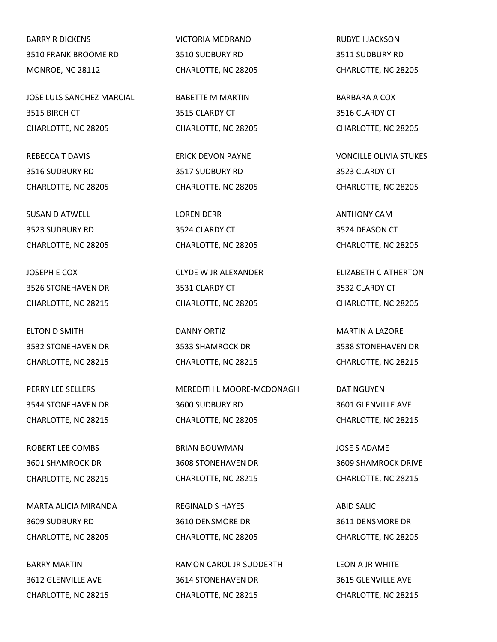BARRY R DICKENS 3510 FRANK BROOME RD MONROE, NC 28112

JOSE LULS SANCHEZ MARCIAL 3515 BIRCH CT CHARLOTTE, NC 28205

REBECCA T DAVIS 3516 SUDBURY RD CHARLOTTE, NC 28205

SUSAN D ATWELL 3523 SUDBURY RD CHARLOTTE, NC 28205

JOSEPH E COX 3526 STONEHAVEN DR CHARLOTTE, NC 28215

ELTON D SMITH 3532 STONEHAVEN DR CHARLOTTE, NC 28215

PERRY LEE SELLERS 3544 STONEHAVEN DR CHARLOTTE, NC 28215

ROBERT LEE COMBS 3601 SHAMROCK DR CHARLOTTE, NC 28215

MARTA ALICIA MIRANDA 3609 SUDBURY RD CHARLOTTE, NC 28205

BARRY MARTIN 3612 GLENVILLE AVE CHARLOTTE, NC 28215 VICTORIA MEDRANO 3510 SUDBURY RD CHARLOTTE, NC 28205

BABETTE M MARTIN 3515 CLARDY CT CHARLOTTE, NC 28205

ERICK DEVON PAYNE 3517 SUDBURY RD CHARLOTTE, NC 28205

LOREN DERR 3524 CLARDY CT CHARLOTTE, NC 28205

CLYDE W JR ALEXANDER 3531 CLARDY CT CHARLOTTE, NC 28205

DANNY ORTIZ 3533 SHAMROCK DR CHARLOTTE, NC 28215

MEREDITH L MOORE-MCDONAGH 3600 SUDBURY RD CHARLOTTE, NC 28205

BRIAN BOUWMAN 3608 STONEHAVEN DR CHARLOTTE, NC 28215

REGINALD S HAYES 3610 DENSMORE DR CHARLOTTE, NC 28205

RAMON CAROL JR SUDDERTH 3614 STONEHAVEN DR CHARLOTTE, NC 28215

RUBYE I JACKSON 3511 SUDBURY RD CHARLOTTE, NC 28205

BARBARA A COX 3516 CLARDY CT CHARLOTTE, NC 28205

VONCILLE OLIVIA STUKES 3523 CLARDY CT CHARLOTTE, NC 28205

ANTHONY CAM 3524 DEASON CT CHARLOTTE, NC 28205

ELIZABETH C ATHERTON 3532 CLARDY CT CHARLOTTE, NC 28205

MARTIN A LAZORE 3538 STONEHAVEN DR CHARLOTTE, NC 28215

DAT NGUYEN 3601 GLENVILLE AVE CHARLOTTE, NC 28215

JOSE S ADAME 3609 SHAMROCK DRIVE CHARLOTTE, NC 28215

ABID SALIC 3611 DENSMORE DR CHARLOTTE, NC 28205

LEON A JR WHITE 3615 GLENVILLE AVE CHARLOTTE, NC 28215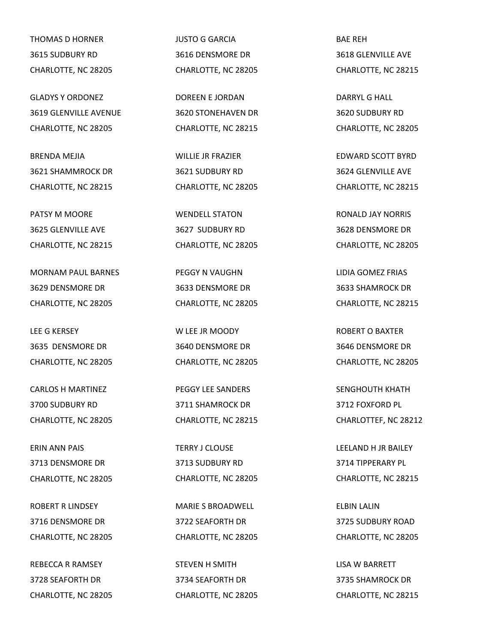THOMAS D HORNER 3615 SUDBURY RD CHARLOTTE, NC 28205

GLADYS Y ORDONEZ 3619 GLENVILLE AVENUE CHARLOTTE, NC 28205

BRENDA MEJIA 3621 SHAMMROCK DR CHARLOTTE, NC 28215

PATSY M MOORE 3625 GLENVILLE AVE CHARLOTTE, NC 28215

MORNAM PAUL BARNES 3629 DENSMORE DR CHARLOTTE, NC 28205

LEE G KERSEY 3635 DENSMORE DR CHARLOTTE, NC 28205

CARLOS H MARTINEZ 3700 SUDBURY RD CHARLOTTE, NC 28205

ERIN ANN PAIS 3713 DENSMORE DR CHARLOTTE, NC 28205

ROBERT R LINDSEY 3716 DENSMORE DR CHARLOTTE, NC 28205

REBECCA R RAMSEY 3728 SEAFORTH DR CHARLOTTE, NC 28205 JUSTO G GARCIA 3616 DENSMORE DR CHARLOTTE, NC 28205

DOREEN E JORDAN 3620 STONEHAVEN DR CHARLOTTE, NC 28215

WILLIE JR FRAZIER 3621 SUDBURY RD CHARLOTTE, NC 28205

WENDELL STATON 3627 SUDBURY RD CHARLOTTE, NC 28205

PEGGY N VAUGHN 3633 DENSMORE DR CHARLOTTE, NC 28205

W LEE JR MOODY 3640 DENSMORE DR CHARLOTTE, NC 28205

PEGGY LEE SANDERS 3711 SHAMROCK DR CHARLOTTE, NC 28215

TERRY J CLOUSE 3713 SUDBURY RD CHARLOTTE, NC 28205

MARIE S BROADWELL 3722 SEAFORTH DR CHARLOTTE, NC 28205

STEVEN H SMITH 3734 SEAFORTH DR CHARLOTTE, NC 28205 BAE REH 3618 GLENVILLE AVE CHARLOTTE, NC 28215

DARRYL G HALL 3620 SUDBURY RD CHARLOTTE, NC 28205

EDWARD SCOTT BYRD 3624 GLENVILLE AVE CHARLOTTE, NC 28215

RONALD JAY NORRIS 3628 DENSMORE DR CHARLOTTE, NC 28205

LIDIA GOMEZ FRIAS 3633 SHAMROCK DR CHARLOTTE, NC 28215

ROBERT O BAXTER 3646 DENSMORE DR CHARLOTTE, NC 28205

SENGHOUTH KHATH 3712 FOXFORD PL CHARLOTTEF, NC 28212

LEELAND H JR BAILEY 3714 TIPPERARY PL CHARLOTTE, NC 28215

ELBIN LALIN 3725 SUDBURY ROAD CHARLOTTE, NC 28205

LISA W BARRETT 3735 SHAMROCK DR CHARLOTTE, NC 28215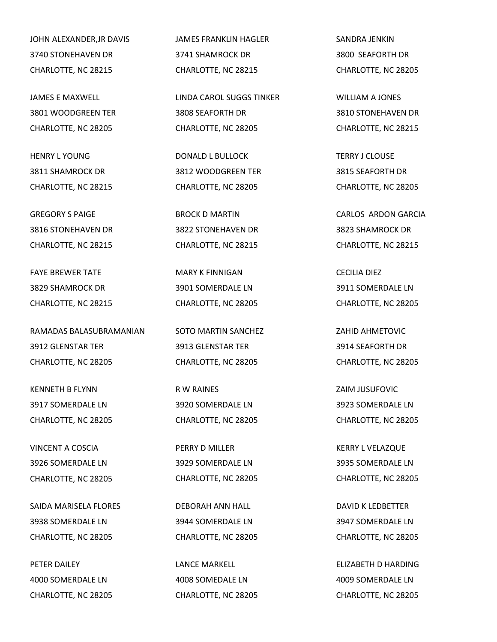JOHN ALEXANDER,JR DAVIS 3740 STONEHAVEN DR CHARLOTTE, NC 28215

JAMES E MAXWELL 3801 WOODGREEN TER CHARLOTTE, NC 28205

HENRY L YOUNG 3811 SHAMROCK DR CHARLOTTE, NC 28215

GREGORY S PAIGE 3816 STONEHAVEN DR CHARLOTTE, NC 28215

FAYE BREWER TATE 3829 SHAMROCK DR CHARLOTTE, NC 28215

RAMADAS BALASUBRAMANIAN 3912 GLENSTAR TER CHARLOTTE, NC 28205

KENNETH B FLYNN 3917 SOMERDALE LN CHARLOTTE, NC 28205

VINCENT A COSCIA 3926 SOMERDALE LN CHARLOTTE, NC 28205

SAIDA MARISELA FLORES 3938 SOMERDALE LN CHARLOTTE, NC 28205

PETER DAILEY 4000 SOMERDALE LN CHARLOTTE, NC 28205 JAMES FRANKLIN HAGLER 3741 SHAMROCK DR CHARLOTTE, NC 28215

LINDA CAROL SUGGS TINKER 3808 SEAFORTH DR CHARLOTTE, NC 28205

DONALD L BULLOCK 3812 WOODGREEN TER CHARLOTTE, NC 28205

BROCK D MARTIN 3822 STONEHAVEN DR CHARLOTTE, NC 28215

MARY K FINNIGAN 3901 SOMERDALE LN CHARLOTTE, NC 28205

SOTO MARTIN SANCHEZ 3913 GLENSTAR TER CHARLOTTE, NC 28205

R W RAINES 3920 SOMERDALE LN CHARLOTTE, NC 28205

PERRY D MILLER 3929 SOMERDALE LN CHARLOTTE, NC 28205

DEBORAH ANN HALL 3944 SOMERDALE LN CHARLOTTE, NC 28205

LANCE MARKELL 4008 SOMEDALE LN CHARLOTTE, NC 28205 SANDRA JENKIN 3800 SEAFORTH DR CHARLOTTE, NC 28205

WILLIAM A JONES 3810 STONEHAVEN DR CHARLOTTE, NC 28215

TERRY J CLOUSE 3815 SEAFORTH DR CHARLOTTE, NC 28205

CARLOS ARDON GARCIA 3823 SHAMROCK DR CHARLOTTE, NC 28215

CECILIA DIEZ 3911 SOMERDALE LN CHARLOTTE, NC 28205

ZAHID AHMETOVIC 3914 SEAFORTH DR CHARLOTTE, NC 28205

ZAIM JUSUFOVIC 3923 SOMERDALE LN CHARLOTTE, NC 28205

KERRY L VELAZQUE 3935 SOMERDALE LN CHARLOTTE, NC 28205

DAVID K LEDBETTER 3947 SOMERDALE LN CHARLOTTE, NC 28205

ELIZABETH D HARDING 4009 SOMERDALE LN CHARLOTTE, NC 28205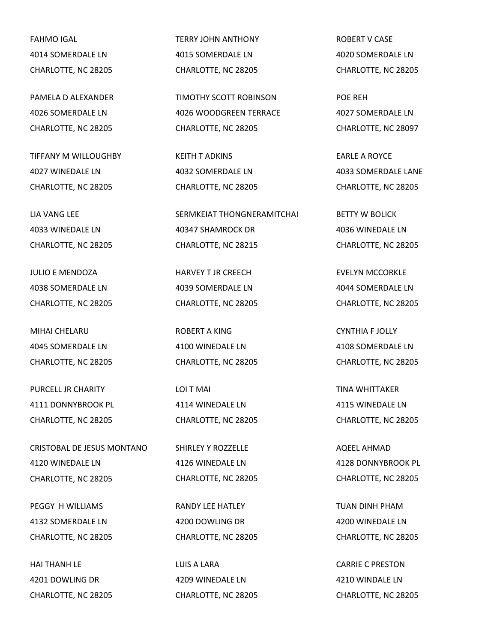FAHMO IGAL 4014 SOMERDALE LN CHARLOTTE, NC 28205

PAMELA D ALEXANDER 4026 SOMERDALE LN CHARLOTTE, NC 28205

TIFFANY M WILLOUGHBY 4027 WINEDALE LN CHARLOTTE, NC 28205

LIA VANG LEE 4033 WINEDALE LN CHARLOTTE, NC 28205

JULIO E MENDOZA 4038 SOMERDALE LN CHARLOTTE, NC 28205

MIHAI CHELARU 4045 SOMERDALE LN CHARLOTTE, NC 28205

PURCELL JR CHARITY 4111 DONNYBROOK PL CHARLOTTE, NC 28205

CRISTOBAL DE JESUS MONTANO 4120 WINEDALE LN CHARLOTTE, NC 28205

PEGGY H WILLIAMS 4132 SOMERDALE LN CHARLOTTE, NC 28205

HAI THANH LE 4201 DOWLING DR CHARLOTTE, NC 28205 TERRY JOHN ANTHONY 4015 SOMERDALE LN CHARLOTTE, NC 28205

TIMOTHY SCOTT ROBINSON 4026 WOODGREEN TERRACE CHARLOTTE, NC 28205

KEITH T ADKINS 4032 SOMERDALE LN CHARLOTTE, NC 28205

SERMKEIAT THONGNERAMITCHAI 40347 SHAMROCK DR CHARLOTTE, NC 28215

HARVEY T JR CREECH 4039 SOMERDALE LN CHARLOTTE, NC 28205

ROBERT A KING 4100 WINEDALE LN CHARLOTTE, NC 28205

LOI T MAI 4114 WINEDALE LN CHARLOTTE, NC 28205

SHIRLEY Y ROZZELLE 4126 WINEDALE LN CHARLOTTE, NC 28205

RANDY LEE HATLEY 4200 DOWLING DR CHARLOTTE, NC 28205

LUIS A LARA 4209 WINEDALE LN CHARLOTTE, NC 28205 ROBERT V CASE 4020 SOMERDALE LN CHARLOTTE, NC 28205

POE REH 4027 SOMERDALE LN CHARLOTTE, NC 28097

EARLE A ROYCE 4033 SOMERDALE LANE CHARLOTTE, NC 28205

BETTY W BOLICK 4036 WINEDALE LN CHARLOTTE, NC 28205

EVELYN MCCORKLE 4044 SOMERDALE LN CHARLOTTE, NC 28205

CYNTHIA F JOLLY 4108 SOMERDALE LN CHARLOTTE, NC 28205

TINA WHITTAKER 4115 WINEDALE LN CHARLOTTE, NC 28205

AQEEL AHMAD 4128 DONNYBROOK PL CHARLOTTE, NC 28205

TUAN DINH PHAM 4200 WINEDALE LN CHARLOTTE, NC 28205

CARRIE C PRESTON 4210 WINDALE LN CHARLOTTE, NC 28205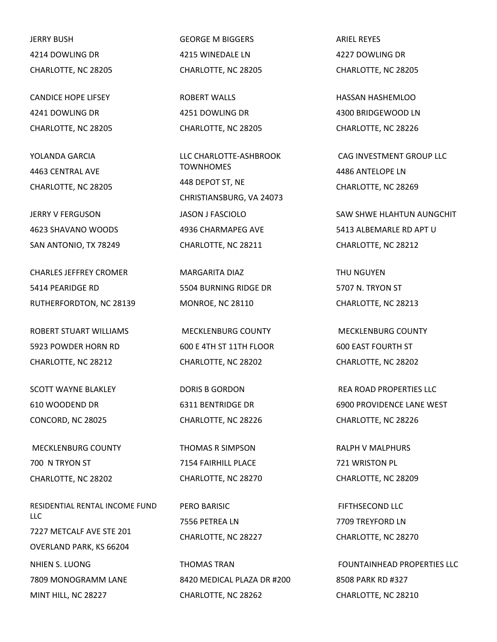JERRY BUSH 4214 DOWLING DR CHARLOTTE, NC 28205

CANDICE HOPE LIFSEY 4241 DOWLING DR CHARLOTTE, NC 28205

YOLANDA GARCIA 4463 CENTRAL AVE CHARLOTTE, NC 28205

JERRY V FERGUSON 4623 SHAVANO WOODS SAN ANTONIO, TX 78249

CHARLES JEFFREY CROMER 5414 PEARIDGE RD RUTHERFORDTON, NC 28139

ROBERT STUART WILLIAMS 5923 POWDER HORN RD CHARLOTTE, NC 28212

SCOTT WAYNE BLAKLEY 610 WOODEND DR CONCORD, NC 28025

MECKLENBURG COUNTY 700 N TRYON ST CHARLOTTE, NC 28202

RESIDENTIAL RENTAL INCOME FUND LLC 7227 METCALF AVE STE 201 OVERLAND PARK, KS 66204 NHIEN S. LUONG 7809 MONOGRAMM LANE MINT HILL, NC 28227

GEORGE M BIGGERS 4215 WINEDALE LN CHARLOTTE, NC 28205

ROBERT WALLS 4251 DOWLING DR CHARLOTTE, NC 28205

LLC CHARLOTTE-ASHBROOK **TOWNHOMES** 448 DEPOT ST, NE CHRISTIANSBURG, VA 24073 JASON J FASCIOLO 4936 CHARMAPEG AVE CHARLOTTE, NC 28211

MARGARITA DIAZ 5504 BURNING RIDGE DR MONROE, NC 28110

MECKLENBURG COUNTY 600 E 4TH ST 11TH FLOOR CHARLOTTE, NC 28202

DORIS B GORDON 6311 BENTRIDGE DR CHARLOTTE, NC 28226

THOMAS R SIMPSON 7154 FAIRHILL PLACE CHARLOTTE, NC 28270

PERO BARISIC 7556 PETREA LN CHARLOTTE, NC 28227

THOMAS TRAN 8420 MEDICAL PLAZA DR #200 CHARLOTTE, NC 28262

ARIEL REYES 4227 DOWLING DR CHARLOTTE, NC 28205

HASSAN HASHEMLOO 4300 BRIDGEWOOD LN CHARLOTTE, NC 28226

CAG INVESTMENT GROUP LLC 4486 ANTELOPE LN CHARLOTTE, NC 28269

SAW SHWE HLAHTUN AUNGCHIT 5413 ALBEMARLE RD APT U CHARLOTTE, NC 28212

THU NGUYEN 5707 N. TRYON ST CHARLOTTE, NC 28213

MECKLENBURG COUNTY 600 EAST FOURTH ST CHARLOTTE, NC 28202

REA ROAD PROPERTIES LLC 6900 PROVIDENCE LANE WEST CHARLOTTE, NC 28226

RALPH V MALPHURS 721 WRISTON PL CHARLOTTE, NC 28209

FIFTHSECOND LLC 7709 TREYFORD LN CHARLOTTE, NC 28270

FOUNTAINHEAD PROPERTIES LLC 8508 PARK RD #327 CHARLOTTE, NC 28210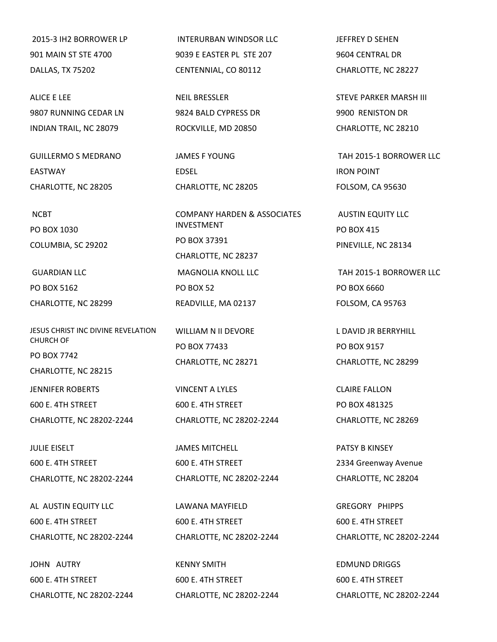2015-3 IH2 BORROWER LP 901 MAIN ST STE 4700 DALLAS, TX 75202

ALICE E LEE 9807 RUNNING CEDAR LN INDIAN TRAIL, NC 28079

GUILLERMO S MEDRANO EASTWAY CHARLOTTE, NC 28205

NCBT

PO BOX 1030 COLUMBIA, SC 29202

GUARDIAN LLC PO BOX 5162 CHARLOTTE, NC 28299

JESUS CHRIST INC DIVINE REVELATION CHURCH OF PO BOX 7742 CHARLOTTE, NC 28215

JENNIFER ROBERTS 600 E. 4TH STREET

CHARLOTTE, NC 28202-2244

JULIE EISELT 600 E. 4TH STREET CHARLOTTE, NC 28202-2244

AL AUSTIN EQUITY LLC 600 E. 4TH STREET CHARLOTTE, NC 28202-2244

JOHN AUTRY 600 E. 4TH STREET CHARLOTTE, NC 28202-2244

INTERURBAN WINDSOR LLC 9039 E EASTER PL STE 207 CENTENNIAL, CO 80112

NEIL BRESSLER 9824 BALD CYPRESS DR ROCKVILLE, MD 20850

JAMES F YOUNG EDSEL CHARLOTTE, NC 28205

COMPANY HARDEN & ASSOCIATES INVESTMENT PO BOX 37391 CHARLOTTE, NC 28237 MAGNOLIA KNOLL LLC PO BOX 52 READVILLE, MA 02137

WILLIAM N II DEVORE PO BOX 77433 CHARLOTTE, NC 28271

VINCENT A LYLES 600 E. 4TH STREET CHARLOTTE, NC 28202-2244

JAMES MITCHELL 600 E. 4TH STREET CHARLOTTE, NC 28202-2244

LAWANA MAYFIELD 600 E. 4TH STREET CHARLOTTE, NC 28202-2244

KENNY SMITH 600 E. 4TH STREET CHARLOTTE, NC 28202-2244 JEFFREY D SEHEN 9604 CENTRAL DR CHARLOTTE, NC 28227

STEVE PARKER MARSH III 9900 RENISTON DR CHARLOTTE, NC 28210

TAH 2015-1 BORROWER LLC IRON POINT FOLSOM, CA 95630

AUSTIN EQUITY LLC PO BOX 415 PINEVILLE, NC 28134

TAH 2015-1 BORROWER LLC PO BOX 6660 FOLSOM, CA 95763

L DAVID JR BERRYHILL PO BOX 9157 CHARLOTTE, NC 28299

CLAIRE FALLON PO BOX 481325 CHARLOTTE, NC 28269

PATSY B KINSEY 2334 Greenway Avenue CHARLOTTE, NC 28204

GREGORY PHIPPS 600 E. 4TH STREET CHARLOTTE, NC 28202-2244

EDMUND DRIGGS 600 E. 4TH STREET CHARLOTTE, NC 28202-2244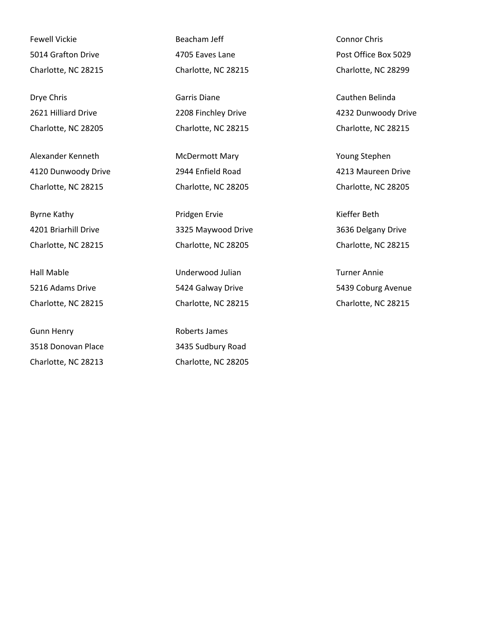Fewell Vickie 5014 Grafton Drive Charlotte, NC 28215

Drye Chris 2621 Hilliard Drive Charlotte, NC 28205

Alexander Kenneth 4120 Dunwoody Drive Charlotte, NC 28215

Byrne Kathy 4201 Briarhill Drive Charlotte, NC 28215

Hall Mable 5216 Adams Drive Charlotte, NC 28215

Gunn Henry 3518 Donovan Place Charlotte, NC 28213

Beacham Jeff 4705 Eaves Lane Charlotte, NC 28215

Garris Diane 2208 Finchley Drive Charlotte, NC 28215

McDermott Mary 2944 Enfield Road Charlotte, NC 28205

Pridgen Ervie 3325 Maywood Drive Charlotte, NC 28205

Underwood Julian 5424 Galway Drive Charlotte, NC 28215

Roberts James 3435 Sudbury Road Charlotte, NC 28205 Connor Chris Post Office Box 5029 Charlotte, NC 28299

Cauthen Belinda 4232 Dunwoody Drive Charlotte, NC 28215

Young Stephen 4213 Maureen Drive Charlotte, NC 28205

Kieffer Beth 3636 Delgany Drive Charlotte, NC 28215

Turner Annie 5439 Coburg Avenue Charlotte, NC 28215